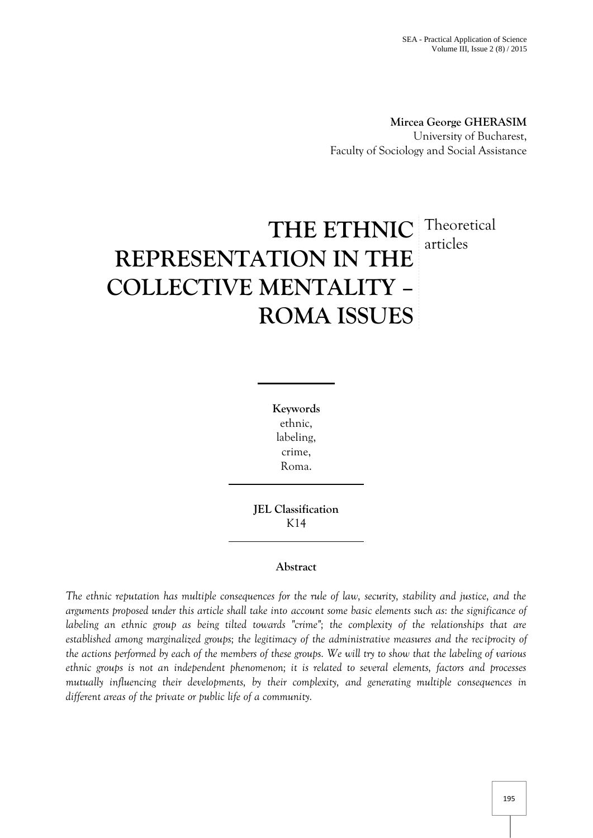**Mircea George GHERASIM** University of Bucharest, Faculty of Sociology and Social Assistance

# **THE ETHNIC** Theoretical **REPRESENTATION IN THE COLLECTIVE MENTALITY – ROMA ISSUES** articles

**Keywords** ethnic, labeling, crime, Roma.

**JEL Classification** K14

## **Abstract**

*The ethnic reputation has multiple consequences for the rule of law, security, stability and justice, and the arguments proposed under this article shall take into account some basic elements such as: the significance of labeling an ethnic group as being tilted towards "crime"; the complexity of the relationships that are established among marginalized groups; the legitimacy of the administrative measures and the reciprocity of the actions performed by each of the members of these groups. We will try to show that the labeling of various ethnic groups is not an independent phenomenon; it is related to several elements, factors and processes mutually influencing their developments, by their complexity, and generating multiple consequences in different areas of the private or public life of a community.*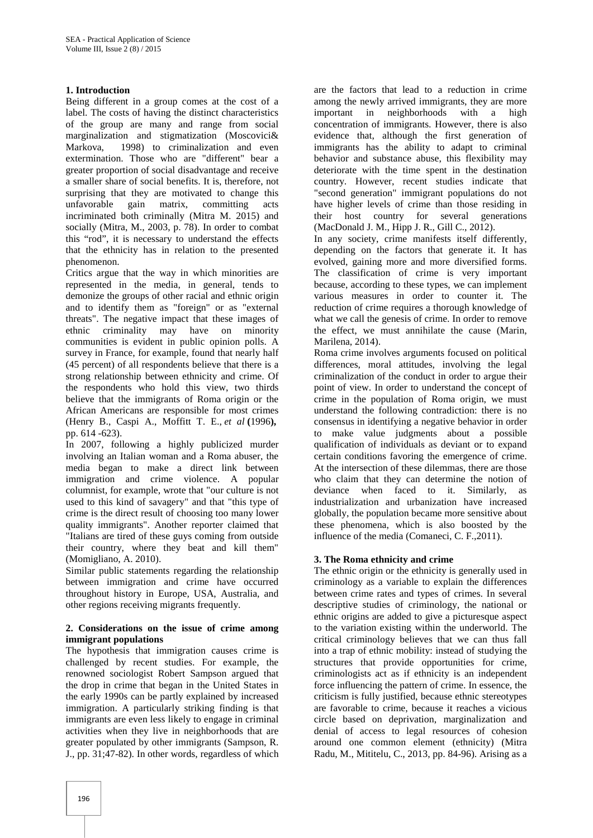### **1. Introduction**

Being different in a group comes at the cost of a label. The costs of having the distinct characteristics of the group are many and range from social marginalization and stigmatization (Moscovici& Markova, 1998) to criminalization and even extermination. Those who are "different" bear a greater proportion of social disadvantage and receive a smaller share of social benefits. It is, therefore, not surprising that they are motivated to change this unfavorable gain matrix, committing acts incriminated both criminally (Mitra M. 2015) and socially (Mitra, M., 2003, p. 78). In order to combat this "rod", it is necessary to understand the effects that the ethnicity has in relation to the presented phenomenon.

Critics argue that the way in which minorities are represented in the media, in general, tends to demonize the groups of other racial and ethnic origin and to identify them as "foreign" or as "external threats". The negative impact that these images of ethnic criminality may have on minority communities is evident in public opinion polls. A survey in France, for example, found that nearly half (45 percent) of all respondents believe that there is a strong relationship between ethnicity and crime. Of the respondents who hold this view, two thirds believe that the immigrants of Roma origin or the African Americans are responsible for most crimes (Henry B., Caspi A., Moffitt T. E., *et al* **(**1996**),** pp. 614 -623).

In 2007, following a highly publicized murder involving an Italian woman and a Roma abuser, the media began to make a direct link between immigration and crime violence. A popular columnist, for example, wrote that "our culture is not used to this kind of savagery" and that "this type of crime is the direct result of choosing too many lower quality immigrants". Another reporter claimed that "Italians are tired of these guys coming from outside their country, where they beat and kill them" (Momigliano, A. 2010).

Similar public statements regarding the relationship between immigration and crime have occurred throughout history in Europe, USA, Australia, and other regions receiving migrants frequently.

#### **2. Considerations on the issue of crime among immigrant populations**

The hypothesis that immigration causes crime is challenged by recent studies. For example, the renowned sociologist Robert Sampson argued that the drop in crime that began in the United States in the early 1990s can be partly explained by increased immigration. A particularly striking finding is that immigrants are even less likely to engage in criminal activities when they live in neighborhoods that are greater populated by other immigrants (Sampson, R. J., pp. 31;47-82). In other words, regardless of which

are the factors that lead to a reduction in crime among the newly arrived immigrants, they are more important in neighborhoods with a high concentration of immigrants. However, there is also evidence that, although the first generation of immigrants has the ability to adapt to criminal behavior and substance abuse, this flexibility may deteriorate with the time spent in the destination country. However, recent studies indicate that "second generation" immigrant populations do not have higher levels of crime than those residing in their host country for several generations (MacDonald J. M., Hipp J. R., Gill C., 2012).

In any society, crime manifests itself differently, depending on the factors that generate it. It has evolved, gaining more and more diversified forms. The classification of crime is very important because, according to these types, we can implement various measures in order to counter it. The reduction of crime requires a thorough knowledge of what we call the genesis of crime. In order to remove the effect, we must annihilate the cause (Marin, Marilena, 2014).

Roma crime involves arguments focused on political differences, moral attitudes, involving the legal criminalization of the conduct in order to argue their point of view. In order to understand the concept of crime in the population of Roma origin, we must understand the following contradiction: there is no consensus in identifying a negative behavior in order to make value judgments about a possible qualification of individuals as deviant or to expand certain conditions favoring the emergence of crime. At the intersection of these dilemmas, there are those who claim that they can determine the notion of deviance when faced to it. Similarly, as industrialization and urbanization have increased globally, the population became more sensitive about these phenomena, which is also boosted by the influence of the media (Comaneci, C. F.,2011).

## **3. The Roma ethnicity and crime**

The ethnic origin or the ethnicity is generally used in criminology as a variable to explain the differences between crime rates and types of crimes. In several descriptive studies of criminology, the national or ethnic origins are added to give a picturesque aspect to the variation existing within the underworld. The critical criminology believes that we can thus fall into a trap of ethnic mobility: instead of studying the structures that provide opportunities for crime, criminologists act as if ethnicity is an independent force influencing the pattern of crime. In essence, the criticism is fully justified, because ethnic stereotypes are favorable to crime, because it reaches a vicious circle based on deprivation, marginalization and denial of access to legal resources of cohesion around one common element (ethnicity) (Mitra Radu, M., Mititelu, C., 2013, pp. 84-96). Arising as a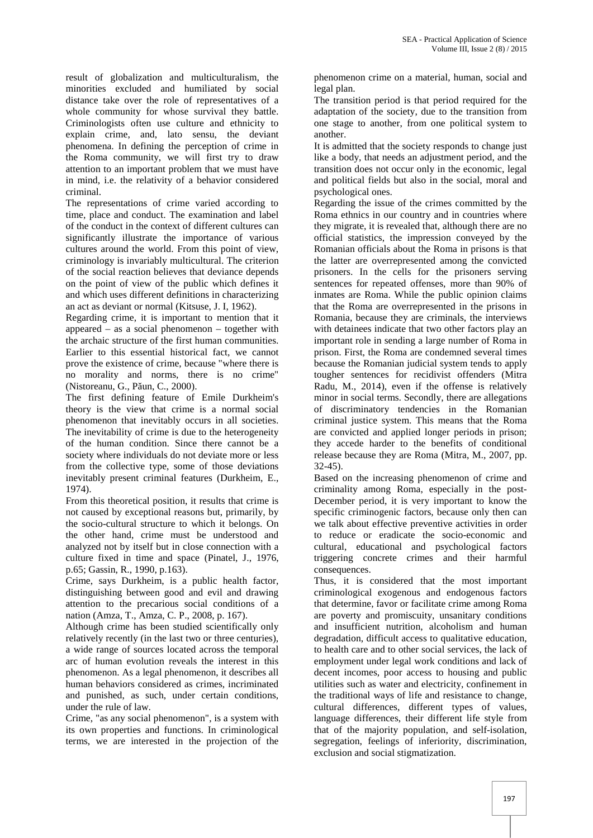result of globalization and multiculturalism, the minorities excluded and humiliated by social distance take over the role of representatives of a whole community for whose survival they battle. Criminologists often use culture and ethnicity to explain crime, and, lato sensu, the deviant phenomena. In defining the perception of crime in the Roma community, we will first try to draw attention to an important problem that we must have in mind, i.e. the relativity of a behavior considered criminal.

The representations of crime varied according to time, place and conduct. The examination and label of the conduct in the context of different cultures can significantly illustrate the importance of various cultures around the world. From this point of view, criminology is invariably multicultural. The criterion of the social reaction believes that deviance depends on the point of view of the public which defines it and which uses different definitions in characterizing an act as deviant or normal (Kitsuse, J. I, 1962).

Regarding crime, it is important to mention that it appeared – as a social phenomenon – together with the archaic structure of the first human communities. Earlier to this essential historical fact, we cannot prove the existence of crime, because "where there is no morality and norms, there is no crime" (Nistoreanu, G., P un, C., 2000).

The first defining feature of Emile Durkheim's theory is the view that crime is a normal social phenomenon that inevitably occurs in all societies. The inevitability of crime is due to the heterogeneity of the human condition. Since there cannot be a society where individuals do not deviate more or less from the collective type, some of those deviations inevitably present criminal features (Durkheim, E., 1974).

From this theoretical position, it results that crime is not caused by exceptional reasons but, primarily, by the socio-cultural structure to which it belongs. On the other hand, crime must be understood and analyzed not by itself but in close connection with a culture fixed in time and space (Pinatel, J., 1976, p.65; Gassin, R., 1990, p.163).

Crime, says Durkheim, is a public health factor, distinguishing between good and evil and drawing attention to the precarious social conditions of a nation (Amza, T., Amza, C. P., 2008, p. 167).

Although crime has been studied scientifically only relatively recently (in the last two or three centuries), a wide range of sources located across the temporal arc of human evolution reveals the interest in this phenomenon. As a legal phenomenon, it describes all human behaviors considered as crimes, incriminated and punished, as such, under certain conditions, under the rule of law.

Crime, "as any social phenomenon", is a system with its own properties and functions. In criminological terms, we are interested in the projection of the phenomenon crime on a material, human, social and legal plan.

The transition period is that period required for the adaptation of the society, due to the transition from one stage to another, from one political system to another.

It is admitted that the society responds to change just like a body, that needs an adjustment period, and the transition does not occur only in the economic, legal and political fields but also in the social, moral and psychological ones.

Regarding the issue of the crimes committed by the Roma ethnics in our country and in countries where they migrate, it is revealed that, although there are no official statistics, the impression conveyed by the Romanian officials about the Roma in prisons is that the latter are overrepresented among the convicted prisoners. In the cells for the prisoners serving sentences for repeated offenses, more than 90% of inmates are Roma. While the public opinion claims that the Roma are overrepresented in the prisons in Romania, because they are criminals, the interviews with detainees indicate that two other factors play an important role in sending a large number of Roma in prison. First, the Roma are condemned several times because the Romanian judicial system tends to apply tougher sentences for recidivist offenders (Mitra Radu, M., 2014), even if the offense is relatively minor in social terms. Secondly, there are allegations of discriminatory tendencies in the Romanian criminal justice system. This means that the Roma are convicted and applied longer periods in prison; they accede harder to the benefits of conditional release because they are Roma (Mitra, M., 2007, pp. 32-45).

Based on the increasing phenomenon of crime and criminality among Roma, especially in the post- December period, it is very important to know the specific criminogenic factors, because only then can we talk about effective preventive activities in order to reduce or eradicate the socio-economic and cultural, educational and psychological factors triggering concrete crimes and their harmful consequences.

Thus, it is considered that the most important criminological exogenous and endogenous factors that determine, favor or facilitate crime among Roma are poverty and promiscuity, unsanitary conditions and insufficient nutrition, alcoholism and human degradation, difficult access to qualitative education, to health care and to other social services, the lack of employment under legal work conditions and lack of decent incomes, poor access to housing and public utilities such as water and electricity, confinement in the traditional ways of life and resistance to change, cultural differences, different types of values, language differences, their different life style from that of the majority population, and self-isolation, segregation, feelings of inferiority, discrimination, exclusion and social stigmatization.